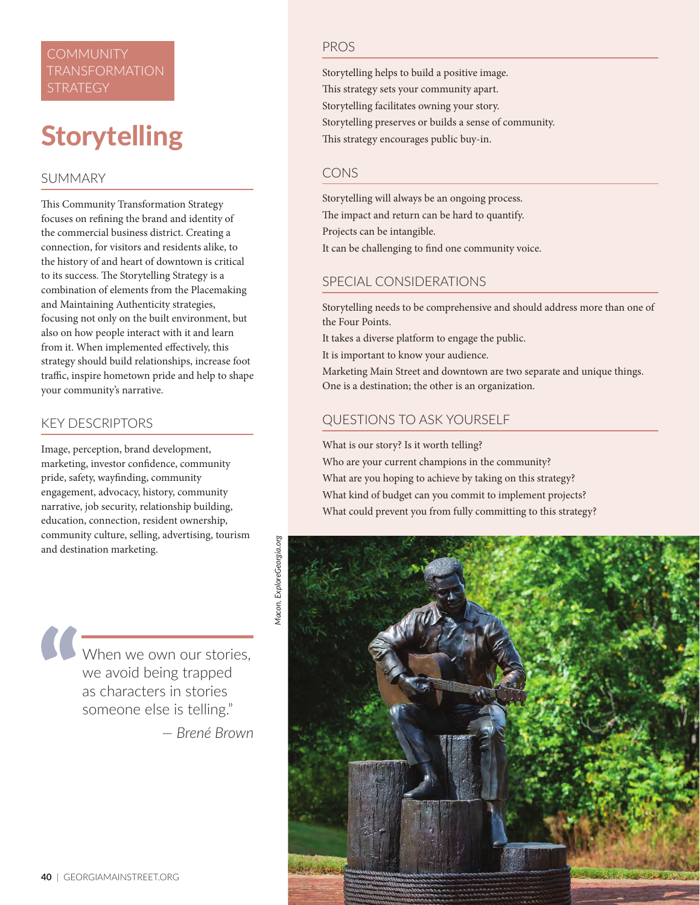# **COMMUNITY** TRANSFORMATION

# **Storytelling**

## SUMMARY

This Community Transformation Strategy focuses on refining the brand and identity of the commercial business district. Creating a connection, for visitors and residents alike, to the history of and heart of downtown is critical to its success. The Storytelling Strategy is a combination of elements from the Placemaking and Maintaining Authenticity strategies, focusing not only on the built environment, but also on how people interact with it and learn from it. When implemented effectively, this strategy should build relationships, increase foot traffic, inspire hometown pride and help to shape your community's narrative.

#### KEY DESCRIPTORS

Image, perception, brand development, marketing, investor confidence, community pride, safety, wayfinding, community engagement, advocacy, history, community narrative, job security, relationship building, education, connection, resident ownership, community culture, selling, advertising, tourism and destination marketing.

When we own our stories, we avoid being trapped as characters in stories someone else is telling."

*— Brené Brown*

#### PROS

Storytelling helps to build a positive image. This strategy sets your community apart. Storytelling facilitates owning your story. Storytelling preserves or builds a sense of community. This strategy encourages public buy-in.

### CONS

Storytelling will always be an ongoing process. The impact and return can be hard to quantify. Projects can be intangible.

It can be challenging to find one community voice.

## SPECIAL CONSIDERATIONS

Storytelling needs to be comprehensive and should address more than one of the Four Points.

It takes a diverse platform to engage the public.

It is important to know your audience.

Marketing Main Street and downtown are two separate and unique things. One is a destination; the other is an organization.

# QUESTIONS TO ASK YOURSELF

What is our story? Is it worth telling?

Who are your current champions in the community? What are you hoping to achieve by taking on this strategy? What kind of budget can you commit to implement projects? What could prevent you from fully committing to this strategy?